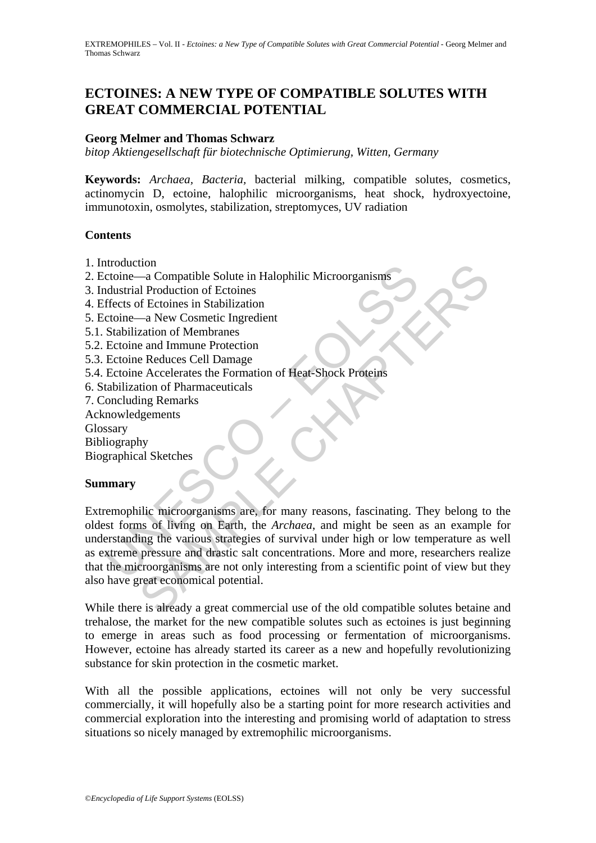# **ECTOINES: A NEW TYPE OF COMPATIBLE SOLUTES WITH GREAT COMMERCIAL POTENTIAL**

## **Georg Melmer and Thomas Schwarz**

*bitop Aktiengesellschaft für biotechnische Optimierung, Witten, Germany* 

**Keywords:** *Archaea, Bacteria,* bacterial milking, compatible solutes, cosmetics, actinomycin D, ectoine, halophilic microorganisms, heat shock, hydroxyectoine, immunotoxin, osmolytes, stabilization, streptomyces, UV radiation

### **Contents**

- 1. Introduction
- 2. Ectoine—a Compatible Solute in Halophilic Microorganisms
- 3. Industrial Production of Ectoines
- 4. Effects of Ectoines in Stabilization
- 5. Ectoine—a New Cosmetic Ingredient
- 5.1. Stabilization of Membranes
- 5.2. Ectoine and Immune Protection
- 5.3. Ectoine Reduces Cell Damage
- 5.4. Ectoine Accelerates the Formation of Heat-Shock Proteins
- 6. Stabilization of Pharmaceuticals
- 7. Concluding Remarks
- Acknowledgements
- Glossary
- Bibliography
- Biographical Sketches

### **Summary**

ntitude comparible Solute in Halophilic Microorganisms<br>
retoine—a Compatible Solute in Halophilic Microorganisms<br>
retoine —a New Cosmetic Ingredient<br>
Ectoine and Immume Protection<br>
Ectoine Reduces Cell Damage<br>
Ectoine Acce non<br>
and Compatible Solute in Halophilic Microorganisms<br>
and Production of Ectoines<br>
of Ectoines in Stabilization<br>
a New Cosmetic Ingredient<br>
axation of Membranes<br>
e and Immune Protection<br>
e Reduces Cell Damage<br>
e and Immu Extremophilic microorganisms are, for many reasons, fascinating. They belong to the oldest forms of living on Earth, the *Archaea*, and might be seen as an example for understanding the various strategies of survival under high or low temperature as well as extreme pressure and drastic salt concentrations. More and more, researchers realize that the microorganisms are not only interesting from a scientific point of view but they also have great economical potential.

While there is already a great commercial use of the old compatible solutes betaine and trehalose, the market for the new compatible solutes such as ectoines is just beginning to emerge in areas such as food processing or fermentation of microorganisms. However, ectoine has already started its career as a new and hopefully revolutionizing substance for skin protection in the cosmetic market.

With all the possible applications, ectoines will not only be very successful commercially, it will hopefully also be a starting point for more research activities and commercial exploration into the interesting and promising world of adaptation to stress situations so nicely managed by extremophilic microorganisms.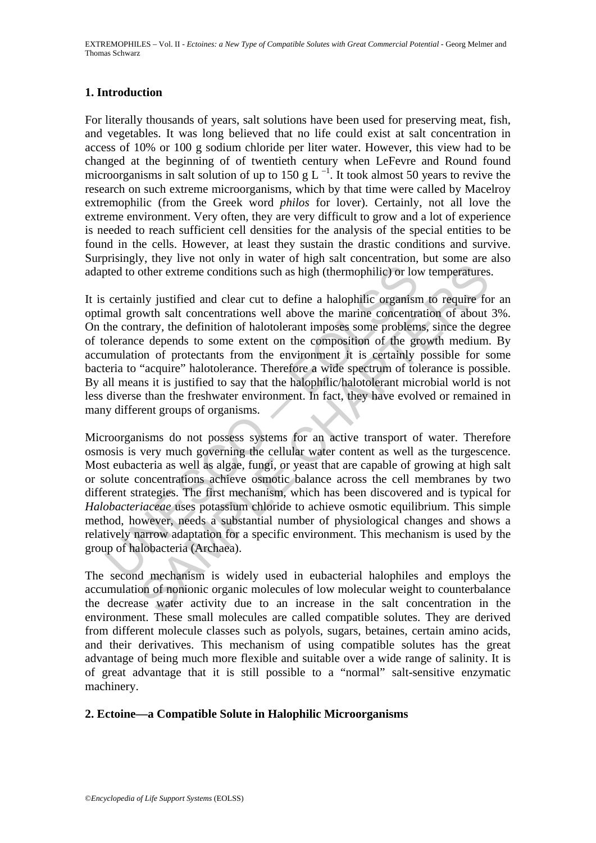## **1. Introduction**

For literally thousands of years, salt solutions have been used for preserving meat, fish, and vegetables. It was long believed that no life could exist at salt concentration in access of 10% or 100 g sodium chloride per liter water. However, this view had to be changed at the beginning of of twentieth century when LeFevre and Round found microorganisms in salt solution of up to 150 g L<sup> $-1$ </sup>. It took almost 50 years to revive the research on such extreme microorganisms, which by that time were called by Macelroy extremophilic (from the Greek word *philos* for lover). Certainly, not all love the extreme environment. Very often, they are very difficult to grow and a lot of experience is needed to reach sufficient cell densities for the analysis of the special entities to be found in the cells. However, at least they sustain the drastic conditions and survive. Surprisingly, they live not only in water of high salt concentration, but some are also adapted to other extreme conditions such as high (thermophilic) or low temperatures.

by the extreme conditions such as high (thermophilic) or loved to other extreme conditions such as high (thermophilic) or loved the marine concentrations well above the marine concentration and growth sult concentration of other extreme conditions such as high (thermophilic) or low temperatures<br>other extreme conditions such as high (thermophilic) or low temperatures<br>ally justified and clear cut to define a halophilic organism to require fo<br>o It is certainly justified and clear cut to define a halophilic organism to require for an optimal growth salt concentrations well above the marine concentration of about 3%. On the contrary, the definition of halotolerant imposes some problems, since the degree of tolerance depends to some extent on the composition of the growth medium. By accumulation of protectants from the environment it is certainly possible for some bacteria to "acquire" halotolerance. Therefore a wide spectrum of tolerance is possible. By all means it is justified to say that the halophilic/halotolerant microbial world is not less diverse than the freshwater environment. In fact, they have evolved or remained in many different groups of organisms.

Microorganisms do not possess systems for an active transport of water. Therefore osmosis is very much governing the cellular water content as well as the turgescence. Most eubacteria as well as algae, fungi, or yeast that are capable of growing at high salt or solute concentrations achieve osmotic balance across the cell membranes by two different strategies. The first mechanism, which has been discovered and is typical for *Halobacteriaceae* uses potassium chloride to achieve osmotic equilibrium. This simple method, however, needs a substantial number of physiological changes and shows a relatively narrow adaptation for a specific environment. This mechanism is used by the group of halobacteria (Archaea).

The second mechanism is widely used in eubacterial halophiles and employs the accumulation of nonionic organic molecules of low molecular weight to counterbalance the decrease water activity due to an increase in the salt concentration in the environment. These small molecules are called compatible solutes. They are derived from different molecule classes such as polyols, sugars, betaines, certain amino acids, and their derivatives. This mechanism of using compatible solutes has the great advantage of being much more flexible and suitable over a wide range of salinity. It is of great advantage that it is still possible to a "normal" salt-sensitive enzymatic machinery.

### **2. Ectoine—a Compatible Solute in Halophilic Microorganisms**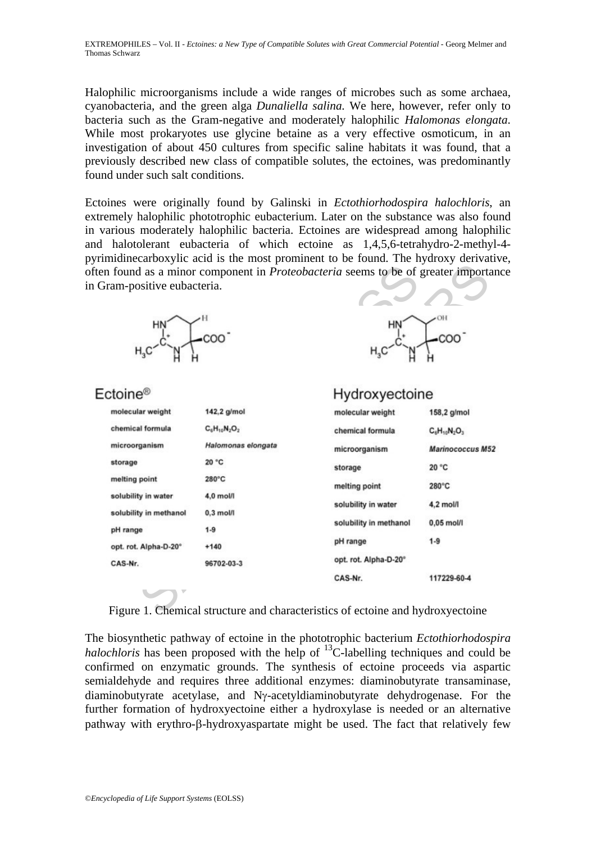Halophilic microorganisms include a wide ranges of microbes such as some archaea, cyanobacteria, and the green alga *Dunaliella salina.* We here, however, refer only to bacteria such as the Gram-negative and moderately halophilic *Halomonas elongata*. While most prokaryotes use glycine betaine as a very effective osmoticum, in an investigation of about 450 cultures from specific saline habitats it was found, that a previously described new class of compatible solutes, the ectoines, was predominantly found under such salt conditions.

Ectoines were originally found by Galinski in *Ectothiorhodospira halochloris*, an extremely halophilic phototrophic eubacterium. Later on the substance was also found in various moderately halophilic bacteria. Ectoines are widespread among halophilic and halotolerant eubacteria of which ectoine as 1,4,5,6-tetrahydro-2-methyl-4 pyrimidinecarboxylic acid is the most prominent to be found. The hydroxy derivative, often found as a minor component in *Proteobacteria* seems to be of greater importance in Gram-positive eubacteria.





| ram-positive eubacteria. |                    | n found as a minor component in <i>Proteobacteria</i> seems to be of greater importan |                         |
|--------------------------|--------------------|---------------------------------------------------------------------------------------|-------------------------|
| НN                       | .COO <sup>-</sup>  |                                                                                       | .coo                    |
| ctoine <sup>®</sup>      |                    | Hydroxyectoine                                                                        |                         |
| molecular weight         | 142,2 g/mol        | molecular weight                                                                      | 158,2 g/mol             |
| chemical formula         | $C_6H_{10}N_2O_2$  | chemical formula                                                                      | $C_6H_{10}N_2O_3$       |
| microorganism            | Halomonas elongata | microorganism                                                                         | <b>Marinococcus M52</b> |
| storage                  | 20 °C              | storage                                                                               | 20 °C                   |
| melting point            | 280°C              | melting point                                                                         | 280°C                   |
| solubility in water      | 4,0 mol/l          |                                                                                       |                         |
| solubility in methanol   | $0,3$ mol/l        | solubility in water                                                                   | 4,2 mol/l               |
| pH range                 | $1 - 9$            | solubility in methanol                                                                | $0,05$ mol/l            |
| opt. rot. Alpha-D-20°    | $+140$             | pH range                                                                              | $1 - 9$                 |
| CAS-Nr.                  | 96702-03-3         | opt. rot. Alpha-D-20°                                                                 |                         |
|                          |                    | CAS-Nr.                                                                               | 117229-60-4             |
|                          |                    |                                                                                       |                         |
|                          |                    | Figure 1. Chemical structure and characteristics of ectoine and hydroxyectoine        |                         |

Figure 1. Chemical structure and characteristics of ectoine and hydroxyectoine

The biosynthetic pathway of ectoine in the phototrophic bacterium *Ectothiorhodospira halochloris* has been proposed with the help of  $^{13}$ C-labelling techniques and could be confirmed on enzymatic grounds. The synthesis of ectoine proceeds via aspartic semialdehyde and requires three additional enzymes: diaminobutyrate transaminase, diaminobutyrate acetylase, and Nγ-acetyldiaminobutyrate dehydrogenase. For the further formation of hydroxyectoine either a hydroxylase is needed or an alternative pathway with erythro-β-hydroxyaspartate might be used. The fact that relatively few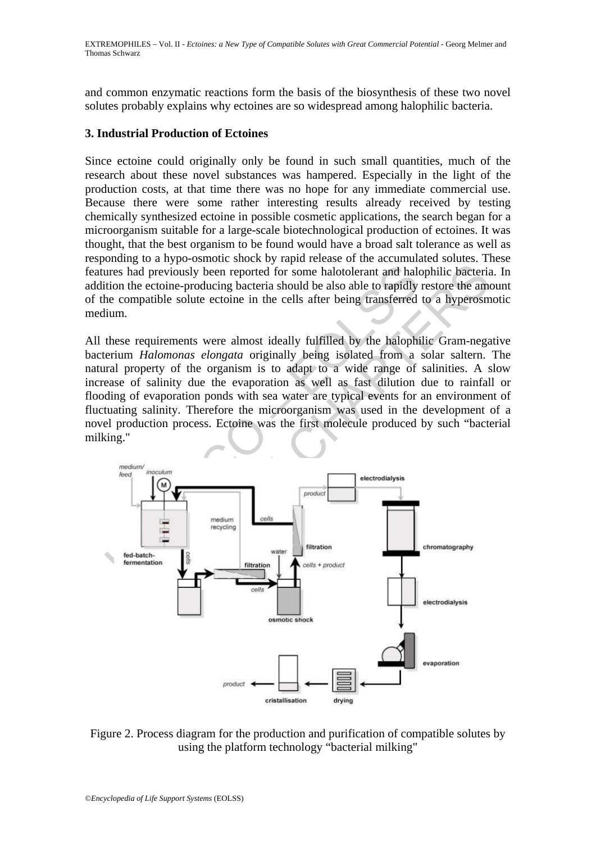and common enzymatic reactions form the basis of the biosynthesis of these two novel solutes probably explains why ectoines are so widespread among halophilic bacteria.

## **3. Industrial Production of Ectoines**

Since ectoine could originally only be found in such small quantities, much of the research about these novel substances was hampered. Especially in the light of the production costs, at that time there was no hope for any immediate commercial use. Because there were some rather interesting results already received by testing chemically synthesized ectoine in possible cosmetic applications, the search began for a microorganism suitable for a large-scale biotechnological production of ectoines. It was thought, that the best organism to be found would have a broad salt tolerance as well as responding to a hypo-osmotic shock by rapid release of the accumulated solutes. These features had previously been reported for some halotolerant and halophilic bacteria. In addition the ectoine-producing bacteria should be also able to rapidly restore the amount of the compatible solute ectoine in the cells after being transferred to a hyperosmotic medium.

All these requirements were almost ideally fulfilled by the halophilic Gram-negative bacterium *Halomonas elongata* originally being isolated from a solar saltern. The natural property of the organism is to adapt to a wide range of salinities. A slow increase of salinity due the evaporation as well as fast dilution due to rainfall or flooding of evaporation ponds with sea water are typical events for an environment of fluctuating salinity. Therefore the microorganism was used in the development of a novel production process. Ectoine was the first molecule produced by such "bacterial milking."



Figure 2. Process diagram for the production and purification of compatible solutes by using the platform technology "bacterial milking"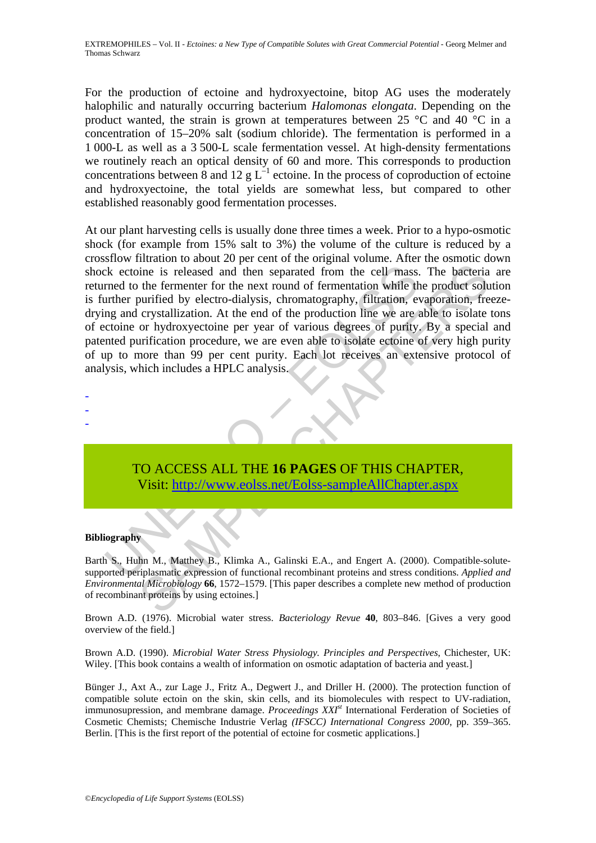For the production of ectoine and hydroxyectoine, bitop AG uses the moderately halophilic and naturally occurring bacterium *Halomonas elongata*. Depending on the product wanted, the strain is grown at temperatures between 25  $\degree$ C and 40  $\degree$ C in a concentration of 15–20% salt (sodium chloride). The fermentation is performed in a 1 000-L as well as a 3 500-L scale fermentation vessel. At high-density fermentations we routinely reach an optical density of 60 and more. This corresponds to production concentrations between 8 and 12 g  $L^{-1}$  ectoine. In the process of coproduction of ectoine and hydroxyectoine, the total yields are somewhat less, but compared to other established reasonably good fermentation processes.

Exercise is released and then separated from the cell mass.<br>
Find to the fermenter for the next round of fermentation while the<br>
urther purified by electro-dialysis, chromatography, filtration, even<br>
ing and crystallizatio ine is released and then separated from the cell mass. The bacteria<br>the fermenter for the next round of fermentation while the product solution<br>curvified by electro-dialysis, chromatography, filtration, evaporation, fre<br>er At our plant harvesting cells is usually done three times a week. Prior to a hypo-osmotic shock (for example from 15% salt to 3%) the volume of the culture is reduced by a crossflow filtration to about 20 per cent of the original volume. After the osmotic down shock ectoine is released and then separated from the cell mass. The bacteria are returned to the fermenter for the next round of fermentation while the product solution is further purified by electro-dialysis, chromatography, filtration, evaporation, freezedrying and crystallization. At the end of the production line we are able to isolate tons of ectoine or hydroxyectoine per year of various degrees of purity. By a special and patented purification procedure, we are even able to isolate ectoine of very high purity of up to more than 99 per cent purity. Each lot receives an extensive protocol of analysis, which includes a HPLC analysis.

- -
- -
- -

# TO ACCESS ALL THE **16 PAGES** OF THIS CHAPTER, Visit: http://www.eolss.net/Eolss-sampleAllChapter.aspx

### **Bibliography**

Barth S., Huhn M., Matthey B., Klimka A., Galinski E.A., and Engert A. (2000). Compatible-solutesupported periplasmatic expression of functional recombinant proteins and stress conditions. *Applied and Environmental Microbiology* **66**, 1572–1579. [This paper describes a complete new method of production of recombinant proteins by using ectoines.]

Brown A.D. (1976). Microbial water stress. *Bacteriology Revue* **40**, 803–846. [Gives a very good overview of the field.]

Brown A.D. (1990). *Microbial Water Stress Physiology. Principles and Perspectives*, Chichester, UK: Wiley. [This book contains a wealth of information on osmotic adaptation of bacteria and yeast.]

Bünger J., Axt A., zur Lage J., Fritz A., Degwert J., and Driller H. (2000). The protection function of compatible solute ectoin on the skin, skin cells, and its biomolecules with respect to UV-radiation, immunosupression, and membrane damage. *Proceedings XXIst* International Ferderation of Societies of Cosmetic Chemists; Chemische Industrie Verlag *(IFSCC) International Congress 2000*, pp. 359–365. Berlin. [This is the first report of the potential of ectoine for cosmetic applications.]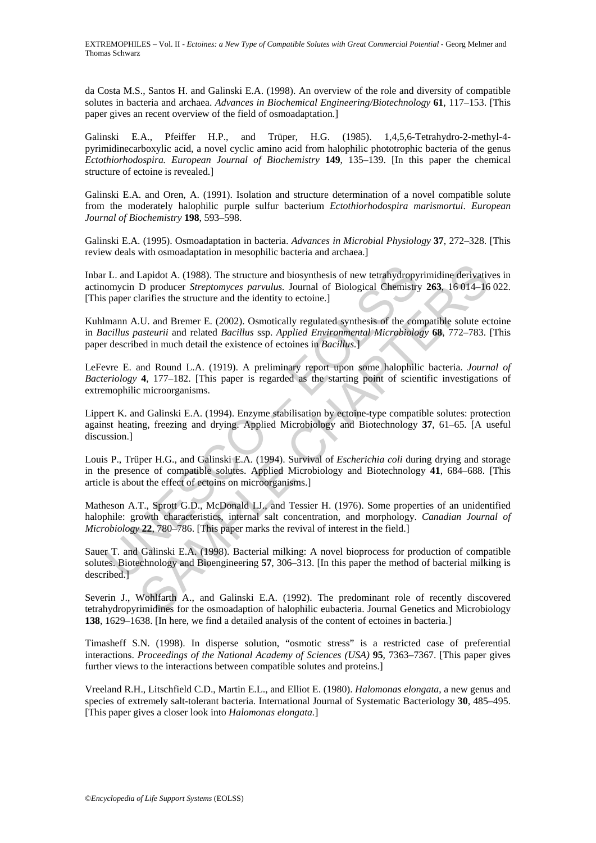da Costa M.S., Santos H. and Galinski E.A. (1998). An overview of the role and diversity of compatible solutes in bacteria and archaea. *Advances in Biochemical Engineering/Biotechnology* **61**, 117–153. [This paper gives an recent overview of the field of osmoadaptation.]

Galinski E.A., Pfeiffer H.P., and Trüper, H.G. (1985). 1,4,5,6-Tetrahydro-2-methyl-4 pyrimidinecarboxylic acid, a novel cyclic amino acid from halophilic phototrophic bacteria of the genus *Ectothiorhodospira. European Journal of Biochemistry* **149**, 135–139. [In this paper the chemical structure of ectoine is revealed.]

Galinski E.A. and Oren, A. (1991). Isolation and structure determination of a novel compatible solute from the moderately halophilic purple sulfur bacterium *Ectothiorhodospira marismortui*. *European Journal of Biochemistry* **198**, 593–598.

Galinski E.A. (1995). Osmoadaptation in bacteria. *Advances in Microbial Physiology* **37**, 272–328. [This review deals with osmoadaptation in mesophilic bacteria and archaea.]

r L. and Lapidot A. (1988). The structure and biosynthesis of new tetrahydropy<br>omycin D producer *Streptomyces parvulus*. Journal of Biological Chemistry<br>paper clarifies the structure and the identity to ectoine.]<br>mann A.U Inbar L. and Lapidot A. (1988). The structure and biosynthesis of new tetrahydropyrimidine derivatives in actinomycin D producer *Streptomyces parvulus.* Journal of Biological Chemistry **263**, 16 014–16 022. [This paper clarifies the structure and the identity to ectoine.]

Kuhlmann A.U. and Bremer E. (2002). Osmotically regulated synthesis of the compatible solute ectoine in *Bacillus pasteurii* and related *Bacillus* ssp. *Applied Environmental Microbiology* **68**, 772–783. [This paper described in much detail the existence of ectoines in *Bacillus.*]

LeFevre E. and Round L.A. (1919). A preliminary report upon some halophilic bacteria. *Journal of Bacteriology* **4**, 177–182. [This paper is regarded as the starting point of scientific investigations of extremophilic microorganisms.

Lippert K. and Galinski E.A. (1994). Enzyme stabilisation by ectoine-type compatible solutes: protection against heating, freezing and drying. Applied Microbiology and Biotechnology **37**, 61–65. [A useful discussion.]

Louis P., Trüper H.G., and Galinski E.A. (1994). Survival of *Escherichia coli* during drying and storage in the presence of compatible solutes. Applied Microbiology and Biotechnology **41**, 684–688. [This article is about the effect of ectoins on microorganisms.]

Matheson A.T., Sprott G.D., McDonald I.J., and Tessier H. (1976). Some properties of an unidentified halophile: growth characteristics, internal salt concentration, and morphology. *Canadian Journal of Microbiology* **22**, 780–786. [This paper marks the revival of interest in the field.]

Lapidot A. (1988). The structure and biosynthesis of new tetrahydropyrimidine derivativ<br>D producer *Streptomyces parvulus*. Journal of Biological Chemistry 263, 16 014–16<br>larifies the structure and the identity to ectoine. Sauer T. and Galinski E.A. (1998). Bacterial milking: A novel bioprocess for production of compatible solutes. Biotechnology and Bioengineering **57**, 306–313. [In this paper the method of bacterial milking is described.]

Severin J., Wohlfarth A., and Galinski E.A. (1992). The predominant role of recently discovered tetrahydropyrimidines for the osmoadaption of halophilic eubacteria. Journal Genetics and Microbiology **138**, 1629–1638. [In here, we find a detailed analysis of the content of ectoines in bacteria.]

Timasheff S.N. (1998). In disperse solution, "osmotic stress" is a restricted case of preferential interactions. *Proceedings of the National Academy of Sciences (USA)* **95**, 7363–7367. [This paper gives further views to the interactions between compatible solutes and proteins.]

Vreeland R.H., Litschfield C.D., Martin E.L., and Elliot E. (1980). *Halomonas elongata*, a new genus and species of extremely salt-tolerant bacteria. International Journal of Systematic Bacteriology **30**, 485–495. [This paper gives a closer look into *Halomonas elongata.*]